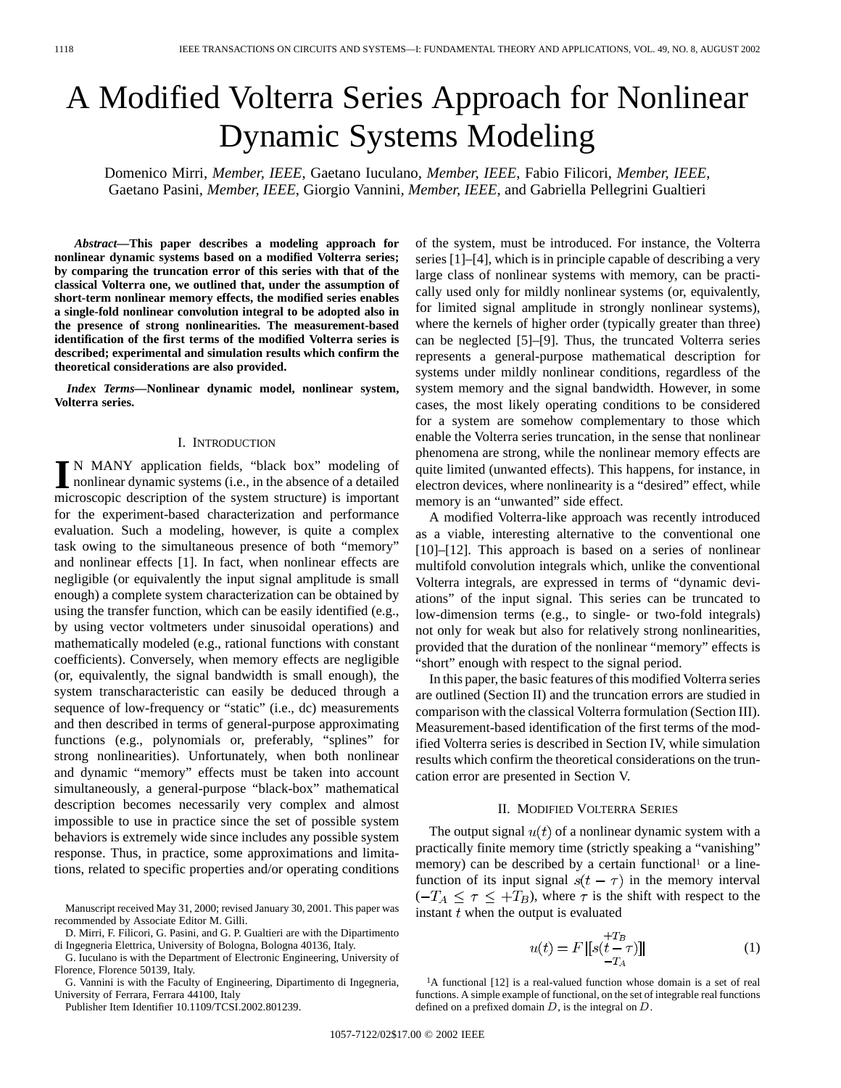# A Modified Volterra Series Approach for Nonlinear Dynamic Systems Modeling

Domenico Mirri*, Member, IEEE*, Gaetano Iuculano*, Member, IEEE*, Fabio Filicori*, Member, IEEE*, Gaetano Pasini*, Member, IEEE*, Giorgio Vannini*, Member, IEEE*, and Gabriella Pellegrini Gualtieri

*Abstract—***This paper describes a modeling approach for nonlinear dynamic systems based on a modified Volterra series; by comparing the truncation error of this series with that of the classical Volterra one, we outlined that, under the assumption of short-term nonlinear memory effects, the modified series enables a single-fold nonlinear convolution integral to be adopted also in the presence of strong nonlinearities. The measurement-based identification of the first terms of the modified Volterra series is described; experimental and simulation results which confirm the theoretical considerations are also provided.**

*Index Terms—***Nonlinear dynamic model, nonlinear system, Volterra series.**

### I. INTRODUCTION

**I** N MANY application fields, "black box" modeling of nonlinear dynamic systems (i.e., in the absence of a detailed microscopia description of the system structure) is important microscopic description of the system structure) is important for the experiment-based characterization and performance evaluation. Such a modeling, however, is quite a complex task owing to the simultaneous presence of both "memory" and nonlinear effects [1]. In fact, when nonlinear effects are negligible (or equivalently the input signal amplitude is small enough) a complete system characterization can be obtained by using the transfer function, which can be easily identified (e.g., by using vector voltmeters under sinusoidal operations) and mathematically modeled (e.g., rational functions with constant coefficients). Conversely, when memory effects are negligible (or, equivalently, the signal bandwidth is small enough), the system transcharacteristic can easily be deduced through a sequence of low-frequency or "static" (i.e., dc) measurements and then described in terms of general-purpose approximating functions (e.g., polynomials or, preferably, "splines" for strong nonlinearities). Unfortunately, when both nonlinear and dynamic "memory" effects must be taken into account simultaneously, a general-purpose "black-box" mathematical description becomes necessarily very complex and almost impossible to use in practice since the set of possible system behaviors is extremely wide since includes any possible system response. Thus, in practice, some approximations and limitations, related to specific properties and/or operating conditions

G. Iuculano is with the Department of Electronic Engineering, University of Florence, Florence 50139, Italy.

G. Vannini is with the Faculty of Engineering, Dipartimento di Ingegneria, University of Ferrara, Ferrara 44100, Italy

Publisher Item Identifier 10.1109/TCSI.2002.801239.

of the system, must be introduced. For instance, the Volterra series [1]–[4], which is in principle capable of describing a very large class of nonlinear systems with memory, can be practically used only for mildly nonlinear systems (or, equivalently, for limited signal amplitude in strongly nonlinear systems), where the kernels of higher order (typically greater than three) can be neglected [5]–[9]. Thus, the truncated Volterra series represents a general-purpose mathematical description for systems under mildly nonlinear conditions, regardless of the system memory and the signal bandwidth. However, in some cases, the most likely operating conditions to be considered for a system are somehow complementary to those which enable the Volterra series truncation, in the sense that nonlinear phenomena are strong, while the nonlinear memory effects are quite limited (unwanted effects). This happens, for instance, in electron devices, where nonlinearity is a "desired" effect, while memory is an "unwanted" side effect.

A modified Volterra-like approach was recently introduced as a viable, interesting alternative to the conventional one [10]–[12]. This approach is based on a series of nonlinear multifold convolution integrals which, unlike the conventional Volterra integrals, are expressed in terms of "dynamic deviations" of the input signal. This series can be truncated to low-dimension terms (e.g., to single- or two-fold integrals) not only for weak but also for relatively strong nonlinearities, provided that the duration of the nonlinear "memory" effects is "short" enough with respect to the signal period.

In this paper, the basic features of this modified Volterra series are outlined (Section II) and the truncation errors are studied in comparison with the classical Volterra formulation (Section III). Measurement-based identification of the first terms of the modified Volterra series is described in Section IV, while simulation results which confirm the theoretical considerations on the truncation error are presented in Section V.

## II. MODIFIED VOLTERRA SERIES

The output signal  $u(t)$  of a nonlinear dynamic system with a practically finite memory time (strictly speaking a "vanishing" memory) can be described by a certain functional<sup>1</sup> or a linefunction of its input signal  $s(t - \tau)$  in the memory interval  $(-T_A \leq \tau \leq +T_B)$ , where  $\tau$  is the shift with respect to the instant  $t$  when the output is evaluated

$$
u(t) = F\left[|s(t-\tau)|\right] - T_A
$$
 (1)

<sup>1</sup>A functional [12] is a real-valued function whose domain is a set of real functions. A simple example of functional, on the set of integrable real functions defined on a prefixed domain  $D$ , is the integral on  $D$ .

Manuscript received May 31, 2000; revised January 30, 2001. This paper was recommended by Associate Editor M. Gilli.

D. Mirri, F. Filicori, G. Pasini, and G. P. Gualtieri are with the Dipartimento di Ingegneria Elettrica, University of Bologna, Bologna 40136, Italy.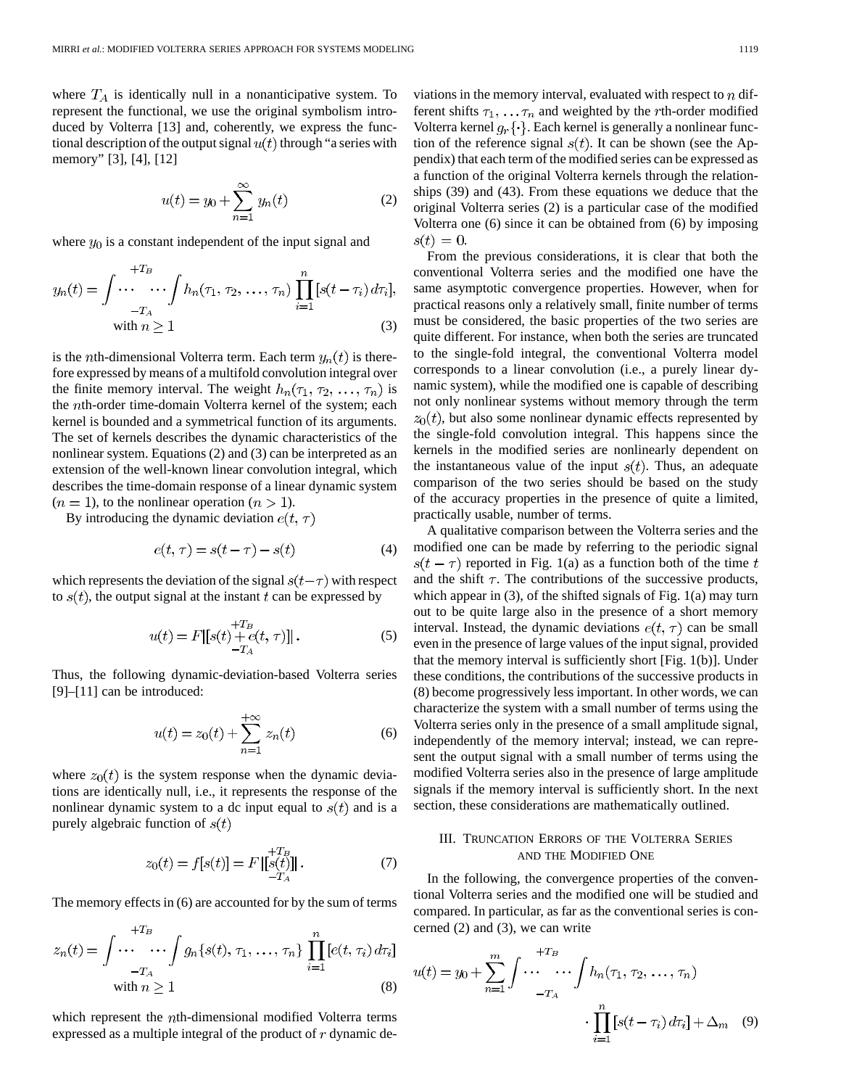where  $T_A$  is identically null in a nonanticipative system. To represent the functional, we use the original symbolism introduced by Volterra [13] and, coherently, we express the functional description of the output signal  $u(t)$  through "a series with memory" [3], [4], [12]

$$
u(t) = y_0 + \sum_{n=1}^{\infty} y_n(t)
$$
 (2)

where  $y_0$  is a constant independent of the input signal and

$$
y_n(t) = \int \cdots \cdots \int h_n(\tau_1, \tau_2, \dots, \tau_n) \prod_{i=1}^n [s(t - \tau_i) d\tau_i],
$$
  
with  $n \ge 1$  (3)

is the *n*th-dimensional Volterra term. Each term  $y_n(t)$  is therefore expressed by means of a multifold convolution integral over the finite memory interval. The weight  $h_n(\tau_1, \tau_2, \ldots, \tau_n)$  is the *th-order time-domain Volterra kernel of the system; each* kernel is bounded and a symmetrical function of its arguments. The set of kernels describes the dynamic characteristics of the nonlinear system. Equations (2) and (3) can be interpreted as an extension of the well-known linear convolution integral, which describes the time-domain response of a linear dynamic system  $(n = 1)$ , to the nonlinear operation  $(n > 1)$ .

By introducing the dynamic deviation  $e(t, \tau)$ 

$$
e(t, \tau) = s(t - \tau) - s(t) \tag{4}
$$

which represents the deviation of the signal  $s(t-\tau)$  with respect to  $s(t)$ , the output signal at the instant t can be expressed by

$$
u(t) = F[ [s(t) + e(t, \tau)]] .
$$
 (5)

Thus, the following dynamic-deviation-based Volterra series [9]–[11] can be introduced:

$$
u(t) = z_0(t) + \sum_{n=1}^{+\infty} z_n(t)
$$
 (6)

where  $z_0(t)$  is the system response when the dynamic deviations are identically null, i.e., it represents the response of the nonlinear dynamic system to a dc input equal to  $s(t)$  and is a purely algebraic function of  $s(t)$ 

$$
z_0(t) = f[s(t)] = F\left[\begin{matrix} +T_B\\ s(t) \end{matrix}\right].
$$
 (7)

The memory effects in (6) are accounted for by the sum of terms

$$
z_n(t) = \int \cdots \cdots \int g_n\{s(t), \tau_1, \ldots, \tau_n\} \prod_{i=1}^n [e(t, \tau_i) d\tau_i]
$$
  
with  $n \ge 1$  (8)

which represent the *th-dimensional modified Volterra terms* expressed as a multiple integral of the product of  $r$  dynamic deviations in the memory interval, evaluated with respect to  $n$  different shifts  $\tau_1, \ldots, \tau_n$  and weighted by the rth-order modified Volterra kernel  $g_r\{\cdot\}$ . Each kernel is generally a nonlinear function of the reference signal  $s(t)$ . It can be shown (see the Appendix) that each term of the modified series can be expressed as a function of the original Volterra kernels through the relationships (39) and (43). From these equations we deduce that the original Volterra series (2) is a particular case of the modified Volterra one (6) since it can be obtained from (6) by imposing  $s(t) = 0.$ 

From the previous considerations, it is clear that both the conventional Volterra series and the modified one have the same asymptotic convergence properties. However, when for practical reasons only a relatively small, finite number of terms must be considered, the basic properties of the two series are quite different. For instance, when both the series are truncated to the single-fold integral, the conventional Volterra model corresponds to a linear convolution (i.e., a purely linear dynamic system), while the modified one is capable of describing not only nonlinear systems without memory through the term  $z_0(t)$ , but also some nonlinear dynamic effects represented by the single-fold convolution integral. This happens since the kernels in the modified series are nonlinearly dependent on the instantaneous value of the input  $s(t)$ . Thus, an adequate comparison of the two series should be based on the study of the accuracy properties in the presence of quite a limited, practically usable, number of terms.

A qualitative comparison between the Volterra series and the modified one can be made by referring to the periodic signal  $s(t-\tau)$  reported in Fig. 1(a) as a function both of the time t and the shift  $\tau$ . The contributions of the successive products, which appear in (3), of the shifted signals of Fig. 1(a) may turn out to be quite large also in the presence of a short memory interval. Instead, the dynamic deviations  $e(t, \tau)$  can be small even in the presence of large values of the input signal, provided that the memory interval is sufficiently short [Fig. 1(b)]. Under these conditions, the contributions of the successive products in (8) become progressively less important. In other words, we can characterize the system with a small number of terms using the Volterra series only in the presence of a small amplitude signal, independently of the memory interval; instead, we can represent the output signal with a small number of terms using the modified Volterra series also in the presence of large amplitude signals if the memory interval is sufficiently short. In the next section, these considerations are mathematically outlined.

# III. TRUNCATION ERRORS OF THE VOLTERRA SERIES AND THE MODIFIED ONE

In the following, the convergence properties of the conventional Volterra series and the modified one will be studied and compared. In particular, as far as the conventional series is concerned (2) and (3), we can write

$$
u(t) = y_0 + \sum_{n=1}^{m} \int \cdots \cdots \int h_n(\tau_1, \tau_2, \dots, \tau_n)
$$

$$
\cdot \prod_{i=1}^{n} [s(t - \tau_i) d\tau_i] + \Delta_m \quad (9)
$$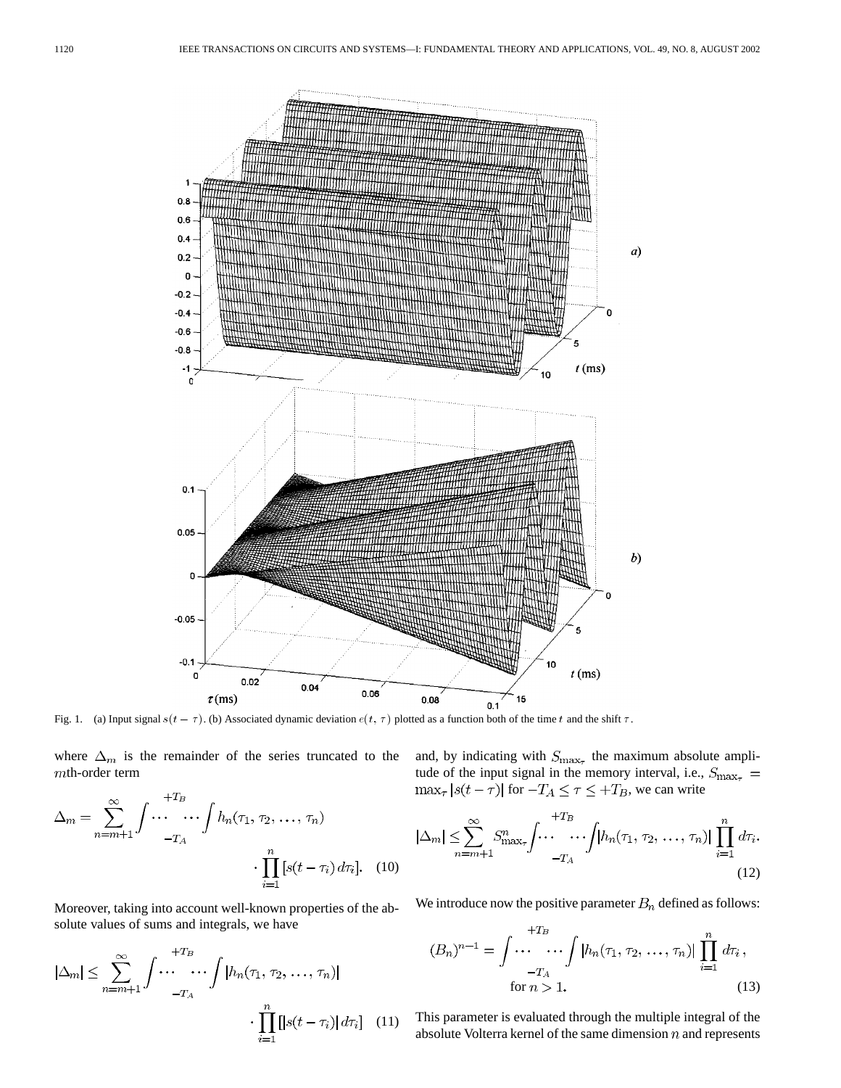

where  $\Delta_m$  is the remainder of the series truncated to the  $m$ th-order term

$$
\Delta_m = \sum_{n=m+1}^{\infty} \int \cdots \cdots \int h_n(\tau_1, \tau_2, \dots, \tau_n)
$$

$$
\cdot \prod_{i=1}^n [s(t-\tau_i) d\tau_i]. \quad (10)
$$

Moreover, taking into account well-known properties of the absolute values of sums and integrals, we have

$$
|\Delta_m| \leq \sum_{n=m+1}^{\infty} \int \cdots \cdots \int |h_n(\tau_1, \tau_2, \dots, \tau_n)|
$$

$$
\cdot \prod_{i=1}^n [|s(t-\tau_i)| d\tau_i] \quad (11)
$$

and, by indicating with  $S_{\text{max}_{\tau}}$  the maximum absolute amplitude of the input signal in the memory interval, i.e.,  $\max_{\tau} |s(t - \tau)|$  for  $-T_A \leq \tau \leq +T_B$ , we can write

$$
|\Delta_m| \leq \sum_{n=m+1}^{\infty} S^n_{\max_{\tau}} \int \cdots \cdots \int \left[ h_n(\tau_1, \tau_2, \dots, \tau_n) \right] \prod_{i=1}^n d\tau_i.
$$
\n(12)

We introduce now the positive parameter  $B_n$  defined as follows:

$$
(B_n)^{n-1} = \int \cdots \cdots \int |h_n(\tau_1, \tau_2, \dots, \tau_n)| \prod_{i=1}^n d\tau_i,
$$
  
for  $n > 1$ . (13)

This parameter is evaluated through the multiple integral of the absolute Volterra kernel of the same dimension  $n$  and represents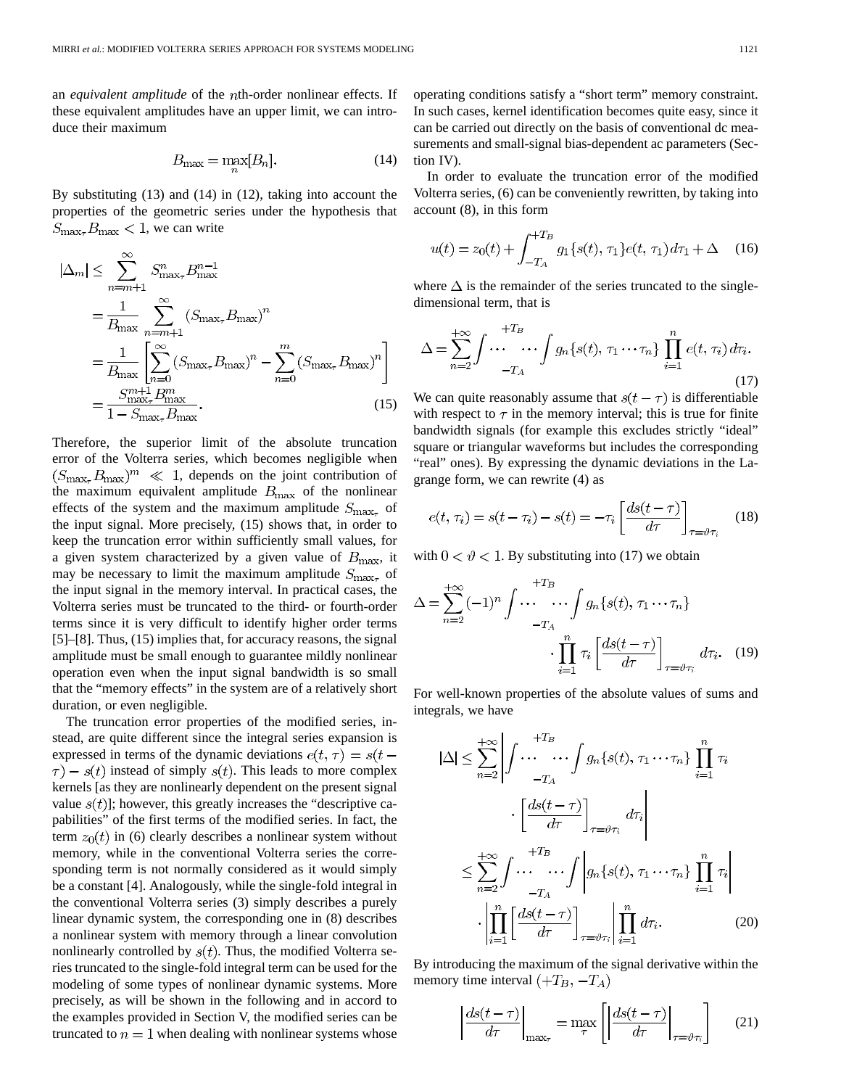an *equivalent amplitude* of the th-order nonlinear effects. If these equivalent amplitudes have an upper limit, we can introduce their maximum

$$
B_{\max} = \max_{n} [B_n]. \tag{14}
$$

By substituting (13) and (14) in (12), taking into account the properties of the geometric series under the hypothesis that  $S_{\text{max}_{\tau}} B_{\text{max}} < 1$ , we can write

$$
|\Delta_m| \le \sum_{n=m+1}^{\infty} S_{\text{max}_{\tau}}^n B_{\text{max}}^{n-1}
$$
  
= 
$$
\frac{1}{B_{\text{max}}} \sum_{n=m+1}^{\infty} (S_{\text{max}_{\tau}} B_{\text{max}})^n
$$
  
= 
$$
\frac{1}{B_{\text{max}}} \left[ \sum_{n=0}^{\infty} (S_{\text{max}_{\tau}} B_{\text{max}})^n - \sum_{n=0}^m (S_{\text{max}_{\tau}} B_{\text{max}})^n \right]
$$
  
= 
$$
\frac{S_{\text{max}_{\tau}}^{m+1} B_{\text{max}}^m}{1 - S_{\text{max}_{\tau}} B_{\text{max}}}. \qquad (15)
$$

Therefore, the superior limit of the absolute truncation error of the Volterra series, which becomes negligible when  $(S_{\text{max}_{\tau}}B_{\text{max}})^m \ll 1$ , depends on the joint contribution of the maximum equivalent amplitude  $B_{\text{max}}$  of the nonlinear effects of the system and the maximum amplitude  $S_{\text{max}_{\tau}}$  of the input signal. More precisely, (15) shows that, in order to keep the truncation error within sufficiently small values, for a given system characterized by a given value of  $B_{\text{max}}$ , it may be necessary to limit the maximum amplitude  $S_{\text{max}_{\tau}}$  of the input signal in the memory interval. In practical cases, the Volterra series must be truncated to the third- or fourth-order terms since it is very difficult to identify higher order terms [5]–[8]. Thus, (15) implies that, for accuracy reasons, the signal amplitude must be small enough to guarantee mildly nonlinear operation even when the input signal bandwidth is so small that the "memory effects" in the system are of a relatively short duration, or even negligible.

The truncation error properties of the modified series, instead, are quite different since the integral series expansion is expressed in terms of the dynamic deviations  $e(t, \tau) = s(t \tau$ ) –  $s(t)$  instead of simply  $s(t)$ . This leads to more complex kernels [as they are nonlinearly dependent on the present signal value  $s(t)$ ; however, this greatly increases the "descriptive capabilities" of the first terms of the modified series. In fact, the term  $z_0(t)$  in (6) clearly describes a nonlinear system without memory, while in the conventional Volterra series the corresponding term is not normally considered as it would simply be a constant [4]. Analogously, while the single-fold integral in the conventional Volterra series (3) simply describes a purely linear dynamic system, the corresponding one in (8) describes a nonlinear system with memory through a linear convolution nonlinearly controlled by  $s(t)$ . Thus, the modified Volterra series truncated to the single-fold integral term can be used for the modeling of some types of nonlinear dynamic systems. More precisely, as will be shown in the following and in accord to the examples provided in Section V, the modified series can be truncated to  $n=1$  when dealing with nonlinear systems whose operating conditions satisfy a "short term" memory constraint. In such cases, kernel identification becomes quite easy, since it can be carried out directly on the basis of conventional dc measurements and small-signal bias-dependent ac parameters (Section IV).

In order to evaluate the truncation error of the modified Volterra series, (6) can be conveniently rewritten, by taking into account (8), in this form

$$
u(t) = z_0(t) + \int_{-T_A}^{+T_B} g_1\{s(t), \tau_1\} e(t, \tau_1) d\tau_1 + \Delta \quad (16)
$$

where  $\Delta$  is the remainder of the series truncated to the singledimensional term, that is

$$
\Delta = \sum_{n=2}^{+\infty} \int \cdots \cdots \int g_n \{s(t), \tau_1 \cdots \tau_n\} \prod_{i=1}^n e(t, \tau_i) d\tau_i.
$$
\n(17)

We can quite reasonably assume that  $s(t - \tau)$  is differentiable with respect to  $\tau$  in the memory interval; this is true for finite bandwidth signals (for example this excludes strictly "ideal" square or triangular waveforms but includes the corresponding "real" ones). By expressing the dynamic deviations in the Lagrange form, we can rewrite (4) as

$$
e(t, \tau_i) = s(t - \tau_i) - s(t) = -\tau_i \left[ \frac{ds(t - \tau)}{d\tau} \right]_{\tau = \vartheta \tau_i}
$$
 (18)

with  $0 < \vartheta < 1$ . By substituting into (17) we obtain

$$
\Delta = \sum_{n=2}^{+\infty} (-1)^n \int \cdots \cdots \int g_n \{s(t), \tau_1 \cdots \tau_n\}
$$

$$
\cdot \prod_{i=1}^n \tau_i \left[ \frac{ds(t-\tau)}{d\tau} \right]_{\tau=\vartheta \tau_i} d\tau_i. \quad (19)
$$

For well-known properties of the absolute values of sums and integrals, we have

$$
|\Delta| \leq \sum_{n=2}^{+\infty} \left| \int \cdots \cdots \int g_n \{s(t), \tau_1 \cdots \tau_n\} \prod_{i=1}^n \tau_i \right|
$$

$$
\cdot \left[ \frac{ds(t-\tau)}{d\tau} \right]_{\tau = \vartheta \tau_i} d\tau_i
$$

$$
\leq \sum_{n=2}^{+\infty} \int \cdots \cdots \int \left| g_n \{s(t), \tau_1 \cdots \tau_n\} \prod_{i=1}^n \tau_i \right|
$$

$$
\cdot \left| \prod_{i=1}^n \left[ \frac{ds(t-\tau)}{d\tau} \right]_{\tau = \vartheta \tau_i} \right| \prod_{i=1}^n d\tau_i. \tag{20}
$$

By introducing the maximum of the signal derivative within the memory time interval  $(+T_B, -T_A)$ 

$$
\left| \frac{ds(t-\tau)}{d\tau} \right|_{\max_{\tau}} = \max_{\tau} \left[ \left| \frac{ds(t-\tau)}{d\tau} \right|_{\tau = \vartheta \tau_i} \right] \tag{21}
$$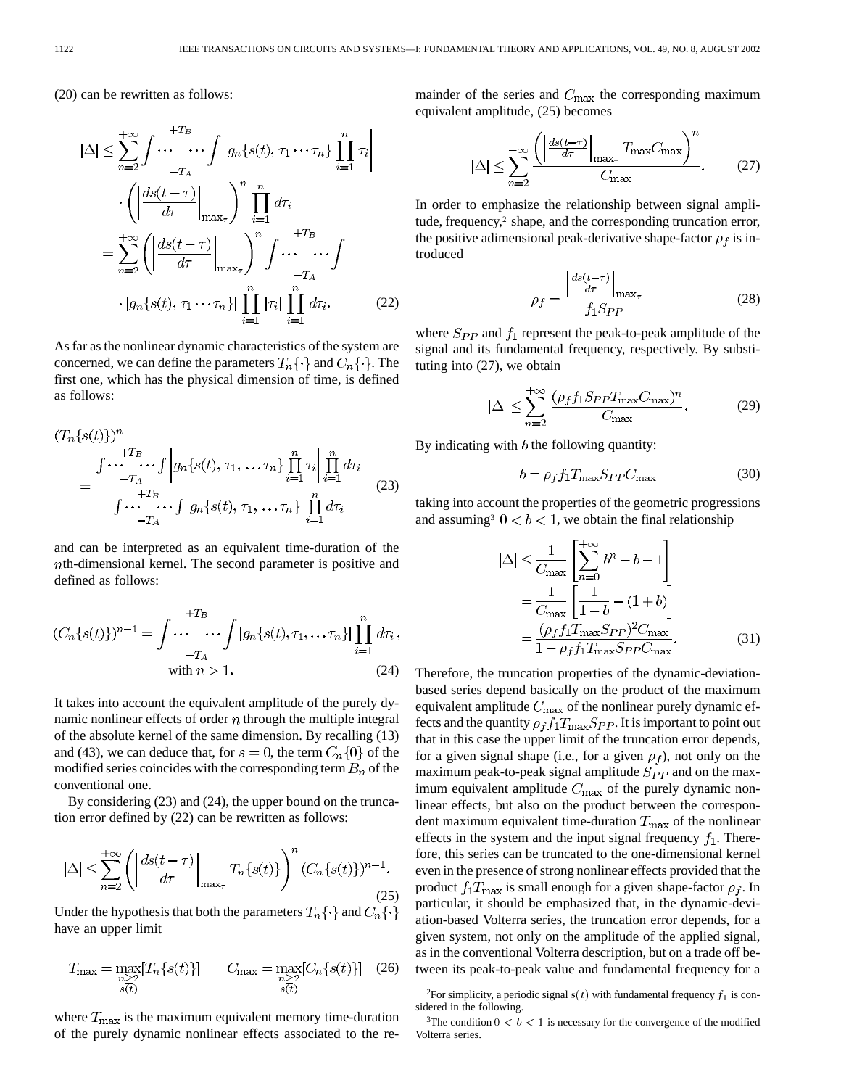(20) can be rewritten as follows:

$$
|\Delta| \leq \sum_{n=2}^{+\infty} \int \cdots \cdots \int \left| g_n\{s(t), \tau_1 \cdots \tau_n\} \prod_{i=1}^n \tau_i \right|
$$

$$
\cdot \left( \left| \frac{ds(t-\tau)}{d\tau} \right|_{\max_{\tau}} \right)^n \prod_{i=1}^n d\tau_i
$$

$$
= \sum_{n=2}^{+\infty} \left( \left| \frac{ds(t-\tau)}{d\tau} \right|_{\max_{\tau}} \right)^n \int \cdots \cdots \int
$$

$$
\cdot \left| g_n\{s(t), \tau_1 \cdots \tau_n\} \right| \prod_{i=1}^n |\tau_i| \prod_{i=1}^n d\tau_i. \tag{22}
$$

As far as the nonlinear dynamic characteristics of the system are concerned, we can define the parameters  $T_n\{\cdot\}$  and  $C_n\{\cdot\}$ . The first one, which has the physical dimension of time, is defined as follows:

$$
(T_n\{s(t)\})^n
$$
  
= 
$$
\frac{\int \cdots \cdots \int \left|g_n\{s(t), \tau_1, \ldots, \tau_n\}\prod_{i=1}^n \tau_i\right| \prod_{i=1}^n d\tau_i}{\int \cdots \cdots \int \left|g_n\{s(t), \tau_1, \ldots, \tau_n\}\right| \prod_{i=1}^n d\tau_i}
$$
 (23)

and can be interpreted as an equivalent time-duration of the  $nth$ -dimensional kernel. The second parameter is positive and defined as follows:

$$
(C_n\{s(t)\})^{n-1} = \int \cdots \cdots \int |g_n\{s(t), \tau_1, \dots, \tau_n\}| \prod_{i=1}^n d\tau_i,
$$
  
with  $n > 1$ . (24)

It takes into account the equivalent amplitude of the purely dynamic nonlinear effects of order  $n$  through the multiple integral of the absolute kernel of the same dimension. By recalling (13) and (43), we can deduce that, for  $s = 0$ , the term  $C_n\{0\}$  of the modified series coincides with the corresponding term  $B_n$  of the conventional one.

By considering (23) and (24), the upper bound on the truncation error defined by (22) can be rewritten as follows:

$$
|\Delta| \le \sum_{n=2}^{+\infty} \left( \left| \frac{ds(t-\tau)}{d\tau} \right|_{\max_{\tau}} T_n\{s(t)\} \right)^n (C_n\{s(t)\})^{n-1}.
$$
\n(25)

Under the hypothesis that both the parameters  $T_n\{\cdot\}$  and  $C_n\{\cdot\}$ have an upper limit

$$
T_{\max} = \max_{\substack{n \geq 2 \\ s(t)}} [T_n\{s(t)\}] \qquad C_{\max} = \max_{\substack{n \geq 2 \\ s(t)}} [C_n\{s(t)\}] \quad (26)
$$

where  $T_{\text{max}}$  is the maximum equivalent memory time-duration of the purely dynamic nonlinear effects associated to the remainder of the series and  $C_{\text{max}}$  the corresponding maximum equivalent amplitude, (25) becomes

$$
|\Delta| \le \sum_{n=2}^{+\infty} \frac{\left( \left| \frac{ds(t-\tau)}{d\tau} \right|_{\max_{\tau}} T_{\max} C_{\max} \right)^n}{C_{\max}}.
$$
 (27)

In order to emphasize the relationship between signal amplitude, frequency,<sup>2</sup> shape, and the corresponding truncation error, the positive adimensional peak-derivative shape-factor  $\rho_f$  is introduced

$$
\rho_f = \frac{\left| \frac{ds(t-\tau)}{d\tau} \right|_{\text{max}_{\tau}}}{f_1 S_{PP}} \tag{28}
$$

where  $S_{PP}$  and  $f_1$  represent the peak-to-peak amplitude of the signal and its fundamental frequency, respectively. By substituting into (27), we obtain

$$
|\Delta| \le \sum_{n=2}^{+\infty} \frac{(\rho_f f_1 S_{PP} T_{\text{max}} C_{\text{max}})^n}{C_{\text{max}}}.
$$
 (29)

By indicating with  $b$  the following quantity:

$$
b = \rho_f f_1 T_{\text{max}} S_{PP} C_{\text{max}} \tag{30}
$$

taking into account the properties of the geometric progressions and assuming<sup>3</sup>  $0 < b < 1$ , we obtain the final relationship

$$
|\Delta| \leq \frac{1}{C_{\text{max}}} \left[ \sum_{n=0}^{+\infty} b^n - b - 1 \right]
$$
  
= 
$$
\frac{1}{C_{\text{max}}} \left[ \frac{1}{1 - b} - (1 + b) \right]
$$
  
= 
$$
\frac{(\rho_f f_1 T_{\text{max}} S_{PP})^2 C_{\text{max}}}{1 - \rho_f f_1 T_{\text{max}} S_{PP} C_{\text{max}}}.
$$
 (31)

Therefore, the truncation properties of the dynamic-deviationbased series depend basically on the product of the maximum equivalent amplitude  $C_{\text{max}}$  of the nonlinear purely dynamic effects and the quantity  $\rho_f f_1 T_{\text{max}} S_{PP}$ . It is important to point out that in this case the upper limit of the truncation error depends, for a given signal shape (i.e., for a given  $\rho_f$ ), not only on the maximum peak-to-peak signal amplitude  $S_{PP}$  and on the maximum equivalent amplitude  $C_{\text{max}}$  of the purely dynamic nonlinear effects, but also on the product between the correspondent maximum equivalent time-duration  $T_{\text{max}}$  of the nonlinear effects in the system and the input signal frequency  $f_1$ . Therefore, this series can be truncated to the one-dimensional kernel even in the presence of strong nonlinear effects provided that the product  $f_1 T_{\text{max}}$  is small enough for a given shape-factor  $\rho_f$ . In particular, it should be emphasized that, in the dynamic-deviation-based Volterra series, the truncation error depends, for a given system, not only on the amplitude of the applied signal, as in the conventional Volterra description, but on a trade off between its peak-to-peak value and fundamental frequency for a

<sup>&</sup>lt;sup>2</sup>For simplicity, a periodic signal  $s(t)$  with fundamental frequency  $f_1$  is considered in the following.

<sup>&</sup>lt;sup>3</sup>The condition  $0 < b < 1$  is necessary for the convergence of the modified Volterra series.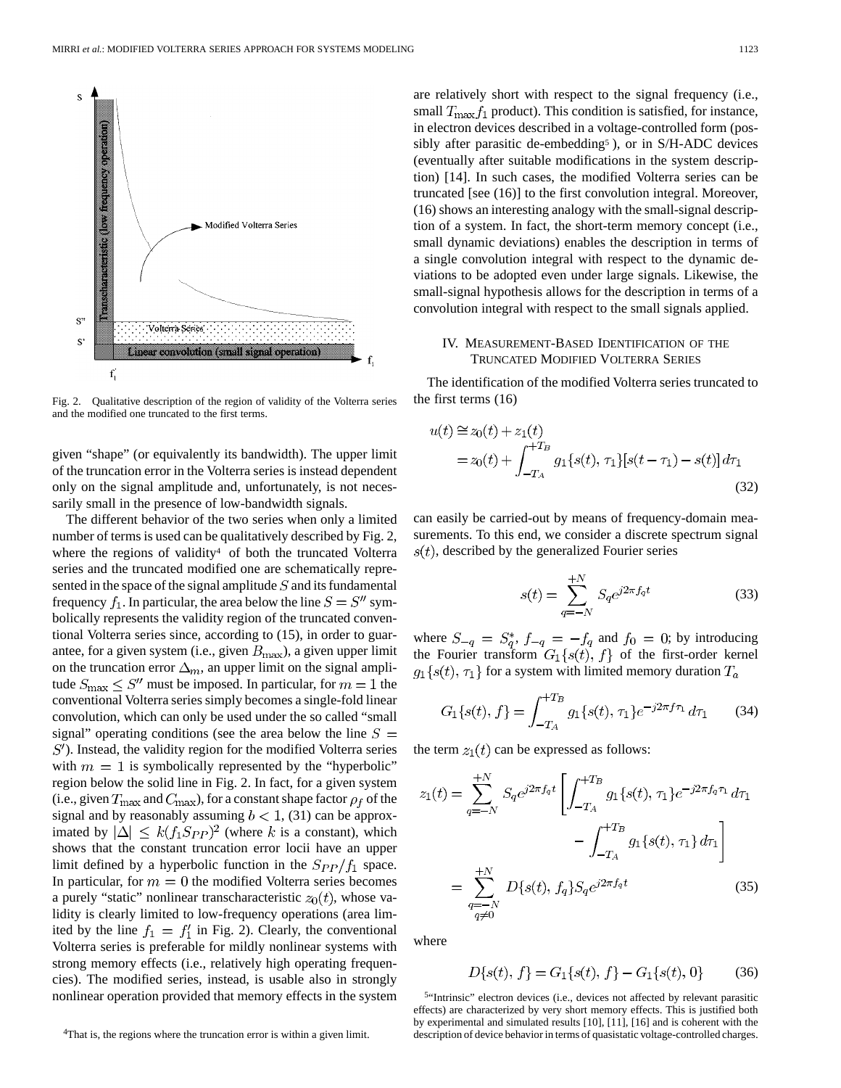

Fig. 2. Qualitative description of the region of validity of the Volterra series and the modified one truncated to the first terms.

given "shape" (or equivalently its bandwidth). The upper limit of the truncation error in the Volterra series is instead dependent only on the signal amplitude and, unfortunately, is not necessarily small in the presence of low-bandwidth signals.

The different behavior of the two series when only a limited number of terms is used can be qualitatively described by Fig. 2, where the regions of validity<sup>4</sup> of both the truncated Volterra series and the truncated modified one are schematically represented in the space of the signal amplitude  $S$  and its fundamental frequency  $f_1$ . In particular, the area below the line  $S = S''$  symbolically represents the validity region of the truncated conventional Volterra series since, according to (15), in order to guarantee, for a given system (i.e., given  $B_{\text{max}}$ ), a given upper limit on the truncation error  $\Delta_m$ , an upper limit on the signal amplitude  $S_{\text{max}} \leq S''$  must be imposed. In particular, for  $m = 1$  the conventional Volterra series simply becomes a single-fold linear convolution, which can only be used under the so called "small signal" operating conditions (see the area below the line  $S =$  $S'$ ). Instead, the validity region for the modified Volterra series with  $m = 1$  is symbolically represented by the "hyperbolic" region below the solid line in Fig. 2. In fact, for a given system (i.e., given  $T_{\text{max}}$  and  $C_{\text{max}}$ ), for a constant shape factor  $\rho_f$  of the signal and by reasonably assuming  $b < 1$ , (31) can be approximated by  $|\Delta| \leq k(f_1 S_{PP})^2$  (where k is a constant), which shows that the constant truncation error locii have an upper limit defined by a hyperbolic function in the  $S_{PP}/f_1$  space. In particular, for  $m = 0$  the modified Volterra series becomes a purely "static" nonlinear transcharacteristic  $z_0(t)$ , whose validity is clearly limited to low-frequency operations (area limited by the line  $f_1 = f'_1$  in Fig. 2). Clearly, the conventional Volterra series is preferable for mildly nonlinear systems with strong memory effects (i.e., relatively high operating frequencies). The modified series, instead, is usable also in strongly nonlinear operation provided that memory effects in the system

4That is, the regions where the truncation error is within a given limit.

are relatively short with respect to the signal frequency (i.e., small  $T_{\text{max}} f_1$  product). This condition is satisfied, for instance, in electron devices described in a voltage-controlled form (possibly after parasitic de-embedding5 ), or in S/H-ADC devices (eventually after suitable modifications in the system description) [14]. In such cases, the modified Volterra series can be truncated [see (16)] to the first convolution integral. Moreover, (16) shows an interesting analogy with the small-signal description of a system. In fact, the short-term memory concept (i.e., small dynamic deviations) enables the description in terms of a single convolution integral with respect to the dynamic deviations to be adopted even under large signals. Likewise, the small-signal hypothesis allows for the description in terms of a convolution integral with respect to the small signals applied.

# IV. MEASUREMENT-BASED IDENTIFICATION OF THE TRUNCATED MODIFIED VOLTERRA SERIES

The identification of the modified Volterra series truncated to the first terms (16)

$$
u(t) \approx z_0(t) + z_1(t)
$$
  
=  $z_0(t) + \int_{-T_A}^{+T_B} g_1\{s(t), \tau_1\}[s(t - \tau_1) - s(t)] d\tau_1$  (32)

can easily be carried-out by means of frequency-domain measurements. To this end, we consider a discrete spectrum signal  $s(t)$ , described by the generalized Fourier series

$$
s(t) = \sum_{q=-N}^{+N} S_q e^{j2\pi f_q t}
$$
 (33)

where  $S_{-q} = S_q^*$ ,  $f_{-q} = -f_q$  and  $f_0 = 0$ ; by introducing the Fourier transform  $G_1\{s(t), f\}$  of the first-order kernel  $g_1\{s(t), \tau_1\}$  for a system with limited memory duration  $T_a$ 

$$
G_1\{s(t), f\} = \int_{-T_A}^{+T_B} g_1\{s(t), \tau_1\} e^{-j2\pi f \tau_1} d\tau_1 \qquad (34)
$$

the term  $z_1(t)$  can be expressed as follows:

$$
z_1(t) = \sum_{q=-N}^{+N} S_q e^{j2\pi f_q t} \left[ \int_{-T_A}^{+T_B} g_1\{s(t), \tau_1\} e^{-j2\pi f_q \tau_1} d\tau_1 - \int_{-T_A}^{+T_B} g_1\{s(t), \tau_1\} d\tau_1 \right]
$$

$$
= \sum_{\substack{q=-N\\q \neq 0}}^{+N} D\{s(t), f_q\} S_q e^{j2\pi f_q t} \qquad (35)
$$

where

$$
D\{s(t), f\} = G_1\{s(t), f\} - G_1\{s(t), 0\}
$$
 (36)

5"Intrinsic" electron devices (i.e., devices not affected by relevant parasitic effects) are characterized by very short memory effects. This is justified both by experimental and simulated results [10], [11], [16] and is coherent with the description of device behavior in terms of quasistatic voltage-controlled charges.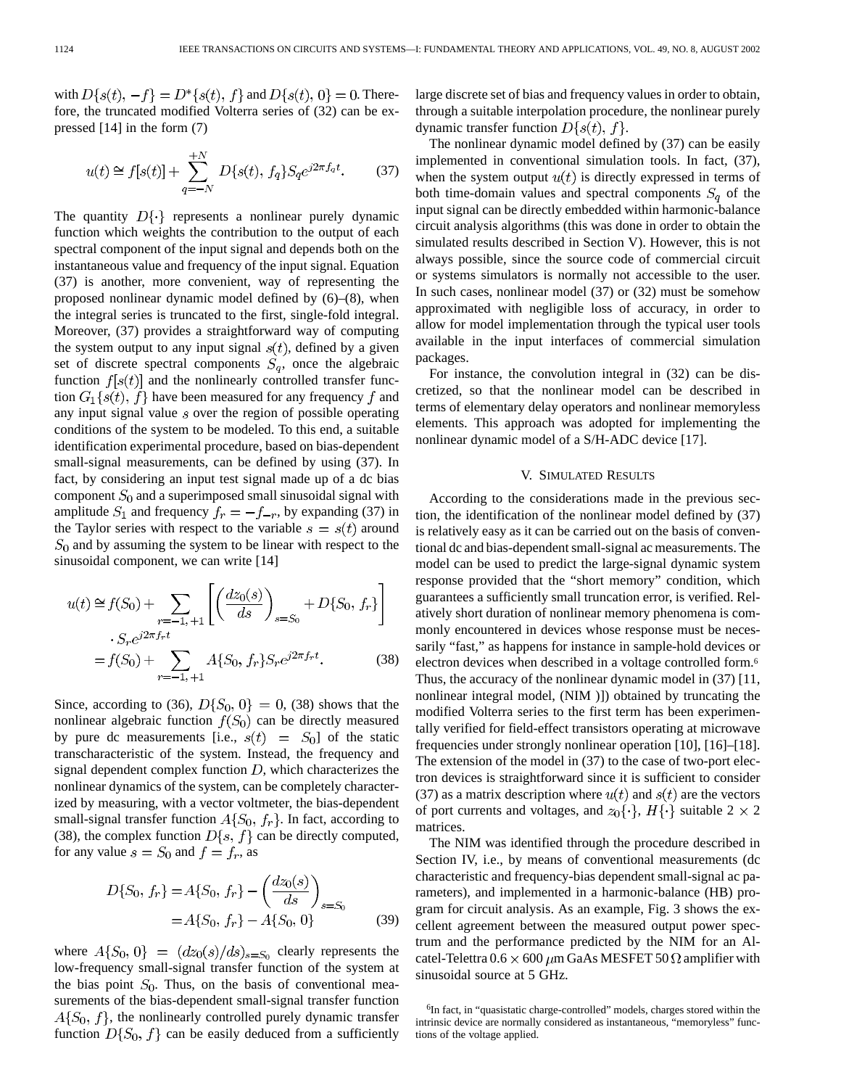with  $D\{s(t), -f\} = D^*\{s(t), f\}$  and  $D\{s(t), 0\} = 0$ . Therefore, the truncated modified Volterra series of (32) can be expressed [14] in the form (7)

$$
u(t) \cong f[s(t)] + \sum_{q=-N}^{+N} D\{s(t), f_q\} S_q e^{j2\pi f_q t}.
$$
 (37)

The quantity  $D\{\cdot\}$  represents a nonlinear purely dynamic function which weights the contribution to the output of each spectral component of the input signal and depends both on the instantaneous value and frequency of the input signal. Equation (37) is another, more convenient, way of representing the proposed nonlinear dynamic model defined by (6)–(8), when the integral series is truncated to the first, single-fold integral. Moreover, (37) provides a straightforward way of computing the system output to any input signal  $s(t)$ , defined by a given set of discrete spectral components  $S_q$ , once the algebraic function  $f[s(t)]$  and the nonlinearly controlled transfer function  $G_1\{s(t), f\}$  have been measured for any frequency f and any input signal value  $s$  over the region of possible operating conditions of the system to be modeled. To this end, a suitable identification experimental procedure, based on bias-dependent small-signal measurements, can be defined by using (37). In fact, by considering an input test signal made up of a dc bias component  $S_0$  and a superimposed small sinusoidal signal with amplitude  $S_1$  and frequency  $f_r = -f_{-r}$ , by expanding (37) in the Taylor series with respect to the variable  $s = s(t)$  around  $S_0$  and by assuming the system to be linear with respect to the sinusoidal component, we can write [14]

$$
u(t) \approx f(S_0) + \sum_{r=-1, +1} \left[ \left( \frac{dz_0(s)}{ds} \right)_{s=S_0} + D\{S_0, f_r\} \right]
$$
  

$$
-S_r e^{j2\pi f_r t}
$$
  

$$
= f(S_0) + \sum_{r=-1, +1} A\{S_0, f_r\} S_r e^{j2\pi f_r t}.
$$
 (38)

Since, according to (36),  $D\{S_0, 0\} = 0$ , (38) shows that the nonlinear algebraic function  $f(S_0)$  can be directly measured by pure dc measurements [i.e.,  $s(t) = S_0$ ] of the static transcharacteristic of the system. Instead, the frequency and signal dependent complex function  $D$ , which characterizes the nonlinear dynamics of the system, can be completely characterized by measuring, with a vector voltmeter, the bias-dependent small-signal transfer function  $A\{S_0, f_r\}$ . In fact, according to (38), the complex function  $D\{s, f\}$  can be directly computed, for any value  $s = S_0$  and  $f = f_r$ , as

$$
D\{S_0, f_r\} = A\{S_0, f_r\} - \left(\frac{dz_0(s)}{ds}\right)_{s=S_0}
$$
  
=  $A\{S_0, f_r\} - A\{S_0, 0\}$  (39)

where  $A\{S_0, 0\} = (dz_0(s)/ds)_{s=S_0}$  clearly represents the low-frequency small-signal transfer function of the system at the bias point  $S_0$ . Thus, on the basis of conventional measurements of the bias-dependent small-signal transfer function  $A\{S_0, f\}$ , the nonlinearly controlled purely dynamic transfer function  $D\{S_0, f\}$  can be easily deduced from a sufficiently large discrete set of bias and frequency values in order to obtain, through a suitable interpolation procedure, the nonlinear purely dynamic transfer function  $D\{s(t), f\}$ .

The nonlinear dynamic model defined by (37) can be easily implemented in conventional simulation tools. In fact, (37), when the system output  $u(t)$  is directly expressed in terms of both time-domain values and spectral components  $S_q$  of the input signal can be directly embedded within harmonic-balance circuit analysis algorithms (this was done in order to obtain the simulated results described in Section V). However, this is not always possible, since the source code of commercial circuit or systems simulators is normally not accessible to the user. In such cases, nonlinear model (37) or (32) must be somehow approximated with negligible loss of accuracy, in order to allow for model implementation through the typical user tools available in the input interfaces of commercial simulation packages.

For instance, the convolution integral in (32) can be discretized, so that the nonlinear model can be described in terms of elementary delay operators and nonlinear memoryless elements. This approach was adopted for implementing the nonlinear dynamic model of a S/H-ADC device [17].

## V. SIMULATED RESULTS

According to the considerations made in the previous section, the identification of the nonlinear model defined by (37) is relatively easy as it can be carried out on the basis of conventional dc and bias-dependent small-signal ac measurements. The model can be used to predict the large-signal dynamic system response provided that the "short memory" condition, which guarantees a sufficiently small truncation error, is verified. Relatively short duration of nonlinear memory phenomena is commonly encountered in devices whose response must be necessarily "fast," as happens for instance in sample-hold devices or electron devices when described in a voltage controlled form.6 Thus, the accuracy of the nonlinear dynamic model in (37) [11, nonlinear integral model, (NIM )]) obtained by truncating the modified Volterra series to the first term has been experimentally verified for field-effect transistors operating at microwave frequencies under strongly nonlinear operation [10], [16]–[18]. The extension of the model in (37) to the case of two-port electron devices is straightforward since it is sufficient to consider (37) as a matrix description where  $u(t)$  and  $s(t)$  are the vectors of port currents and voltages, and  $z_0\{\cdot\}, H\{\cdot\}$  suitable 2  $\times$  2 matrices.

The NIM was identified through the procedure described in Section IV, i.e., by means of conventional measurements (dc characteristic and frequency-bias dependent small-signal ac parameters), and implemented in a harmonic-balance (HB) program for circuit analysis. As an example, Fig. 3 shows the excellent agreement between the measured output power spectrum and the performance predicted by the NIM for an Alcatel-Telettra  $0.6 \times 600 \ \mu m$  GaAs MESFET 50  $\Omega$  amplifier with sinusoidal source at 5 GHz.

<sup>6</sup>In fact, in "quasistatic charge-controlled" models, charges stored within the intrinsic device are normally considered as instantaneous, "memoryless" functions of the voltage applied.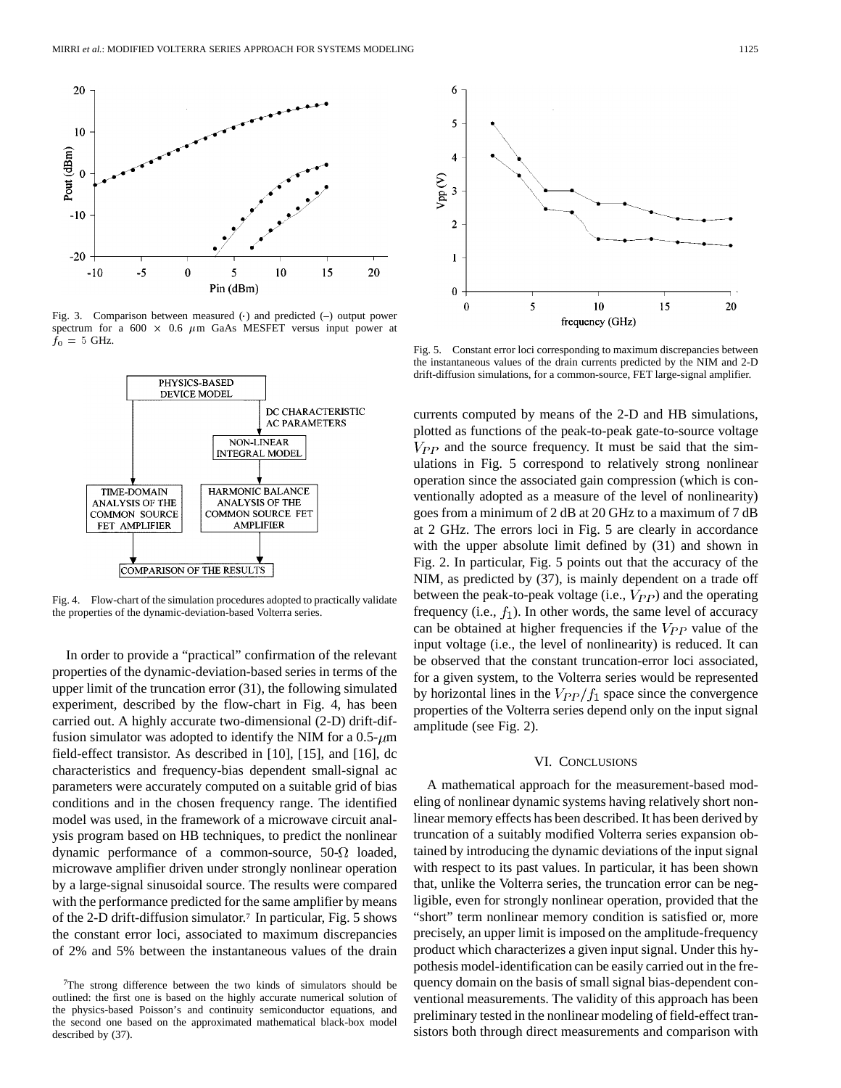

spectrum for a 600  $\times$  0.6  $\mu$ m GaAs MESFET versus input power at  $f_0 = 5$  GHz.



Fig. 4. Flow-chart of the simulation procedures adopted to practically validate the properties of the dynamic-deviation-based Volterra series.

In order to provide a "practical" confirmation of the relevant properties of the dynamic-deviation-based series in terms of the upper limit of the truncation error (31), the following simulated experiment, described by the flow-chart in Fig. 4, has been carried out. A highly accurate two-dimensional (2-D) drift-diffusion simulator was adopted to identify the NIM for a  $0.5-\mu m$ field-effect transistor. As described in [10], [15], and [16], dc characteristics and frequency-bias dependent small-signal ac parameters were accurately computed on a suitable grid of bias conditions and in the chosen frequency range. The identified model was used, in the framework of a microwave circuit analysis program based on HB techniques, to predict the nonlinear dynamic performance of a common-source,  $50-\Omega$  loaded, microwave amplifier driven under strongly nonlinear operation by a large-signal sinusoidal source. The results were compared with the performance predicted for the same amplifier by means of the 2-D drift-diffusion simulator.7 In particular, Fig. 5 shows the constant error loci, associated to maximum discrepancies of 2% and 5% between the instantaneous values of the drain



Fig. 5. Constant error loci corresponding to maximum discrepancies between the instantaneous values of the drain currents predicted by the NIM and 2-D drift-diffusion simulations, for a common-source, FET large-signal amplifier.

currents computed by means of the 2-D and HB simulations, plotted as functions of the peak-to-peak gate-to-source voltage  $V_{PP}$  and the source frequency. It must be said that the simulations in Fig. 5 correspond to relatively strong nonlinear operation since the associated gain compression (which is conventionally adopted as a measure of the level of nonlinearity) goes from a minimum of 2 dB at 20 GHz to a maximum of 7 dB at 2 GHz. The errors loci in Fig. 5 are clearly in accordance with the upper absolute limit defined by  $(31)$  and shown in Fig. 2. In particular, Fig. 5 points out that the accuracy of the NIM, as predicted by (37), is mainly dependent on a trade off between the peak-to-peak voltage (i.e.,  $V_{PP}$ ) and the operating frequency (i.e.,  $f_1$ ). In other words, the same level of accuracy can be obtained at higher frequencies if the  $V_{PP}$  value of the input voltage (i.e., the level of nonlinearity) is reduced. It can be observed that the constant truncation-error loci associated, for a given system, to the Volterra series would be represented by horizontal lines in the  $V_{PP}/f_1$  space since the convergence properties of the Volterra series depend only on the input signal amplitude (see Fig. 2).

## VI. CONCLUSIONS

A mathematical approach for the measurement-based modeling of nonlinear dynamic systems having relatively short nonlinear memory effects has been described. It has been derived by truncation of a suitably modified Volterra series expansion obtained by introducing the dynamic deviations of the input signal with respect to its past values. In particular, it has been shown that, unlike the Volterra series, the truncation error can be negligible, even for strongly nonlinear operation, provided that the "short" term nonlinear memory condition is satisfied or, more precisely, an upper limit is imposed on the amplitude-frequency product which characterizes a given input signal. Under this hypothesis model-identification can be easily carried out in the frequency domain on the basis of small signal bias-dependent conventional measurements. The validity of this approach has been preliminary tested in the nonlinear modeling of field-effect transistors both through direct measurements and comparison with

<sup>7</sup>The strong difference between the two kinds of simulators should be outlined: the first one is based on the highly accurate numerical solution of the physics-based Poisson's and continuity semiconductor equations, and the second one based on the approximated mathematical black-box model described by (37).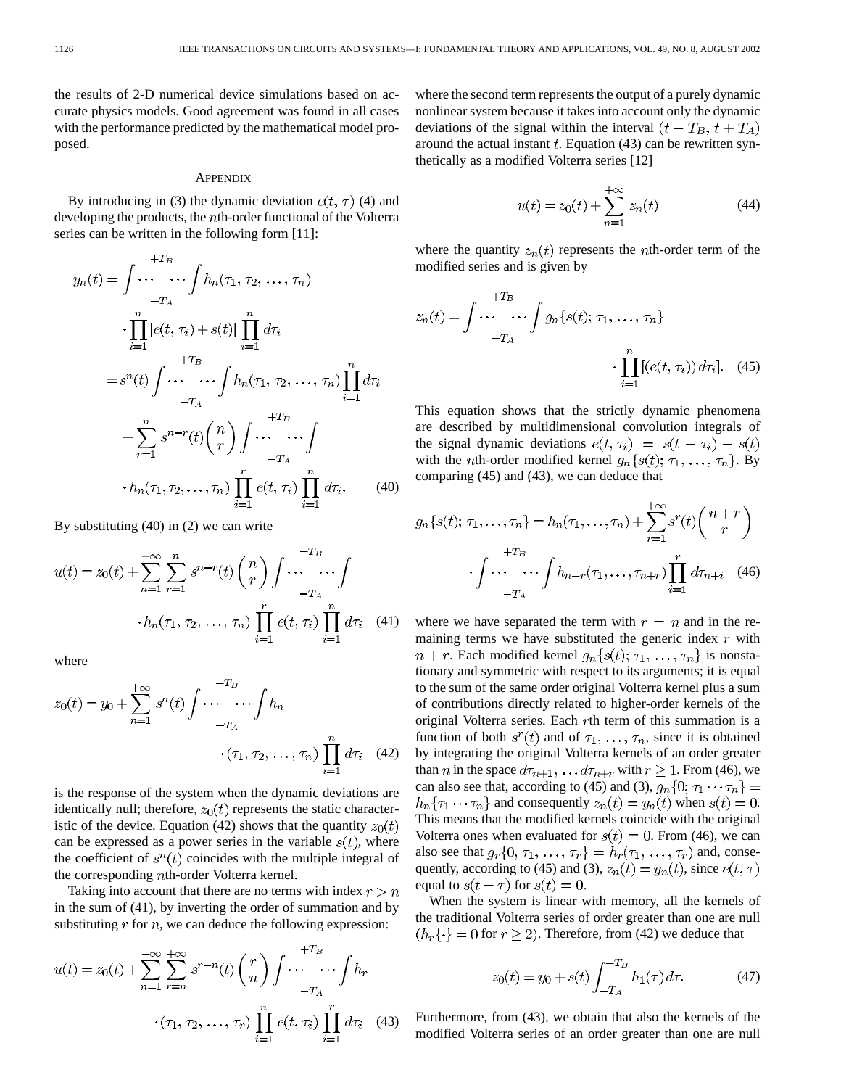the results of 2-D numerical device simulations based on accurate physics models. Good agreement was found in all cases with the performance predicted by the mathematical model proposed.

### **APPENDIX**

By introducing in (3) the dynamic deviation  $e(t, \tau)$  (4) and developing the products, the *n*th-order functional of the Volterra series can be written in the following form [11]:

$$
y_n(t) = \int \cdots \cdots \int h_n(\tau_1, \tau_2, \dots, \tau_n)
$$
  
\n
$$
\cdot \prod_{i=1}^{n} [e(t, \tau_i) + s(t)] \prod_{i=1}^{n} d\tau_i
$$
  
\n
$$
= s^n(t) \int \cdots \cdots \int h_n(\tau_1, \tau_2, \dots, \tau_n) \prod_{i=1}^{n} d\tau_i
$$
  
\n
$$
+ \sum_{r=1}^{n} s^{n-r}(t) {n \choose r} \int \cdots \cdots \int_{-T_A}^{+T_B} + \sum_{r=1}^{n} s^{n-r}(t) {n \choose r} \prod_{i=1}^{r} e(t, \tau_i) \prod_{i=1}^{n} d\tau_i.
$$
 (40)

By substituting (40) in (2) we can write

$$
u(t) = z_0(t) + \sum_{n=1}^{+\infty} \sum_{r=1}^{n} s^{n-r}(t) {n \choose r} \int \cdots \cdots \int
$$
  
 
$$
h_n(\tau_1, \tau_2, \dots, \tau_n) \prod_{i=1}^{r} e(t, \tau_i) \prod_{i=1}^{n} d\tau_i \quad (41)
$$

where

$$
z_0(t) = y_0 + \sum_{n=1}^{+\infty} s^n(t) \int \cdots \cdots \int h_n
$$
  
-T<sub>A</sub>  
• (T<sub>1</sub>, T<sub>2</sub>, ..., T<sub>n</sub>)  $\prod_{i=1}^{n} d\tau_i$  (42)

is the response of the system when the dynamic deviations are identically null; therefore,  $z_0(t)$  represents the static characteristic of the device. Equation (42) shows that the quantity  $z_0(t)$ can be expressed as a power series in the variable  $s(t)$ , where the coefficient of  $s^n(t)$  coincides with the multiple integral of the corresponding *th-order Volterra kernel.* 

Taking into account that there are no terms with index  $r > n$ in the sum of (41), by inverting the order of summation and by substituting  $r$  for  $n$ , we can deduce the following expression:

$$
u(t) = z_0(t) + \sum_{n=1}^{+\infty} \sum_{r=n}^{+\infty} s^{r-n}(t) {r \choose n} \int \cdots \cdots \int h_r
$$
  
 
$$
\cdot (\tau_1, \tau_2, \dots, \tau_r) \prod_{i=1}^{n} e(t, \tau_i) \prod_{i=1}^{r} d\tau_i \quad (43)
$$

where the second term represents the output of a purely dynamic nonlinear system because it takes into account only the dynamic deviations of the signal within the interval  $(t - T_B, t + T_A)$ around the actual instant  $t$ . Equation (43) can be rewritten synthetically as a modified Volterra series [12]

$$
u(t) = z_0(t) + \sum_{n=1}^{+\infty} z_n(t)
$$
 (44)

where the quantity  $z_n(t)$  represents the *n*th-order term of the modified series and is given by

$$
z_n(t) = \int \cdots \cdots \int g_n\{s(t); \tau_1, \ldots, \tau_n\}
$$

$$
-T_A \cdot \prod_{i=1}^n [(e(t, \tau_i)) d\tau_i]. \quad (45)
$$

This equation shows that the strictly dynamic phenomena are described by multidimensional convolution integrals of the signal dynamic deviations  $e(t, \tau_i) = s(t - \tau_i) - s(t)$ with the *n*th-order modified kernel  $g_n\{s(t); \tau_1, \ldots, \tau_n\}$ . By comparing (45) and (43), we can deduce that

$$
g_n\{s(t); \tau_1, \ldots, \tau_n\} = h_n(\tau_1, \ldots, \tau_n) + \sum_{r=1}^{+\infty} s^r(t) \binom{n+r}{r}
$$

$$
\cdot \int \cdots \cdots \int h_{n+r}(\tau_1, \ldots, \tau_{n+r}) \prod_{i=1}^r d\tau_{n+i} \quad (46)
$$

where we have separated the term with  $r = n$  and in the remaining terms we have substituted the generic index  $r$  with  $n + r$ . Each modified kernel  $g_n\{s(t); \tau_1, \ldots, \tau_n\}$  is nonstationary and symmetric with respect to its arguments; it is equal to the sum of the same order original Volterra kernel plus a sum of contributions directly related to higher-order kernels of the original Volterra series. Each rth term of this summation is a function of both  $s^{r}(t)$  and of  $\tau_1, \ldots, \tau_n$ , since it is obtained by integrating the original Volterra kernels of an order greater than *n* in the space  $d\tau_{n+1}, \ldots, d\tau_{n+r}$  with  $r \geq 1$ . From (46), we can also see that, according to (45) and (3),  $g_n\{0; \tau_1 \cdots \tau_n\}$  =  $h_n\{\tau_1\cdots\tau_n\}$  and consequently  $z_n(t) = y_n(t)$  when  $s(t) = 0$ . This means that the modified kernels coincide with the original Volterra ones when evaluated for  $s(t) = 0$ . From (46), we can also see that  $g_r\{0, \tau_1, \ldots, \tau_r\} = h_r(\tau_1, \ldots, \tau_r)$  and, consequently, according to (45) and (3),  $z_n(t) = y_n(t)$ , since  $e(t, \tau)$ equal to  $s(t-\tau)$  for  $s(t) = 0$ .

When the system is linear with memory, all the kernels of the traditional Volterra series of order greater than one are null  $\{h_r\{\cdot\} = 0$  for  $r \geq 2$ ). Therefore, from (42) we deduce that

$$
z_0(t) = y_0 + s(t) \int_{-T_A}^{+T_B} h_1(\tau) d\tau.
$$
 (47)

Furthermore, from (43), we obtain that also the kernels of the modified Volterra series of an order greater than one are null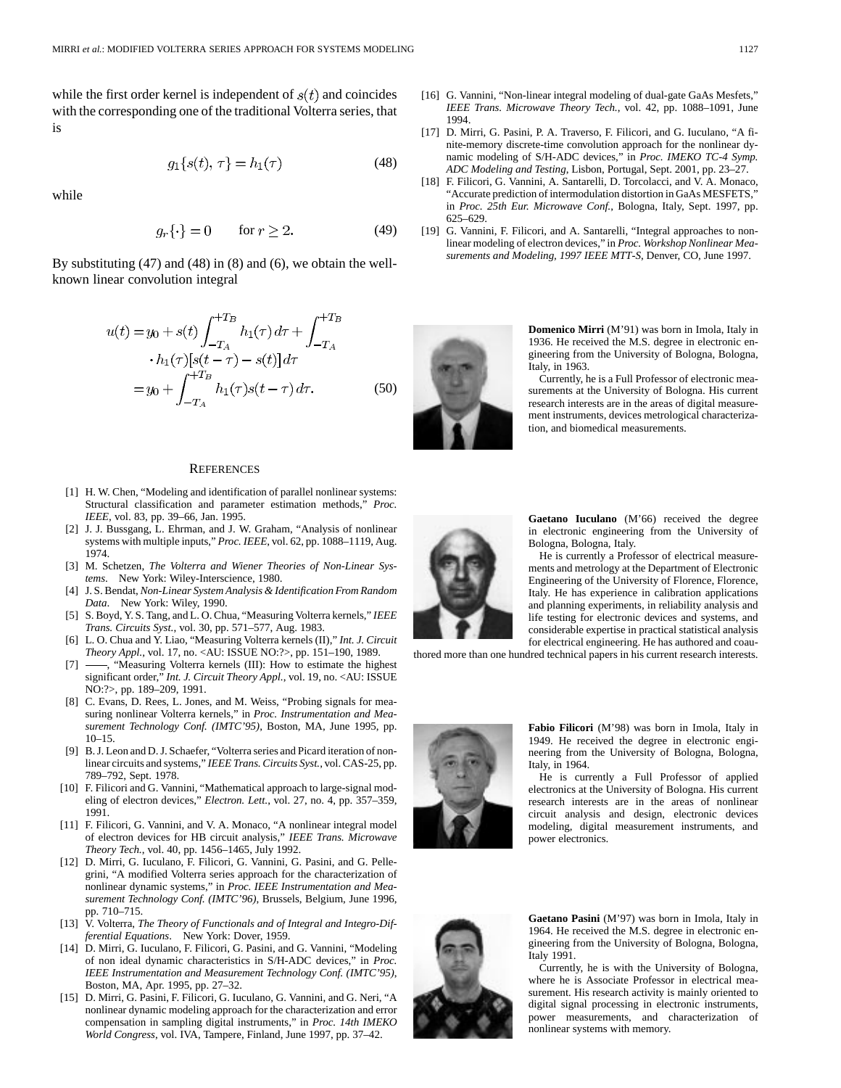while the first order kernel is independent of  $s(t)$  and coincides with the corresponding one of the traditional Volterra series, that is

$$
g_1\{s(t), \tau\} = h_1(\tau) \tag{48}
$$

while

$$
g_r\{\cdot\} = 0 \qquad \text{for } r \ge 2. \tag{49}
$$

By substituting (47) and (48) in (8) and (6), we obtain the wellknown linear convolution integral

$$
u(t) = y_0 + s(t) \int_{-T_A}^{+T_B} h_1(\tau) d\tau + \int_{-T_A}^{+T_B} \cdot h_1(\tau) [s(t - \tau) - s(t)] d\tau
$$
  
=  $y_0 + \int_{-T_A}^{+T_B} h_1(\tau) s(t - \tau) d\tau$ . (50)

#### **REFERENCES**

- [1] H. W. Chen, "Modeling and identification of parallel nonlinear systems: Structural classification and parameter estimation methods," *Proc. IEEE*, vol. 83, pp. 39–66, Jan. 1995.
- [2] J. J. Bussgang, L. Ehrman, and J. W. Graham, "Analysis of nonlinear systems with multiple inputs," *Proc. IEEE*, vol. 62, pp. 1088–1119, Aug. 1974.
- [3] M. Schetzen, *The Volterra and Wiener Theories of Non-Linear Systems*. New York: Wiley-Interscience, 1980.
- [4] J. S. Bendat, *Non-Linear System Analysis & Identification From Random Data*. New York: Wiley, 1990.
- [5] S. Boyd, Y. S. Tang, and L. O. Chua, "Measuring Volterra kernels," *IEEE Trans. Circuits Syst.*, vol. 30, pp. 571–577, Aug. 1983.
- [6] L. O. Chua and Y. Liao, "Measuring Volterra kernels (II)," *Int. J. Circuit Theory Appl.*, vol. 17, no. <AU: ISSUE NO:?>, pp. 151–190, 1989.
- -, "Measuring Volterra kernels (III): How to estimate the highest significant order," *Int. J. Circuit Theory Appl.*, vol. 19, no. <AU: ISSUE NO:?>, pp. 189–209, 1991.
- [8] C. Evans, D. Rees, L. Jones, and M. Weiss, "Probing signals for measuring nonlinear Volterra kernels," in *Proc. Instrumentation and Measurement Technology Conf. (IMTC'95)*, Boston, MA, June 1995, pp. 10–15.
- [9] B. J. Leon and D. J. Schaefer, "Volterra series and Picard iteration of nonlinear circuits and systems," *IEEE Trans. Circuits Syst.*, vol. CAS-25, pp. 789–792, Sept. 1978.
- [10] F. Filicori and G. Vannini, "Mathematical approach to large-signal modeling of electron devices," *Electron. Lett.*, vol. 27, no. 4, pp. 357–359, 1991.
- [11] F. Filicori, G. Vannini, and V. A. Monaco, "A nonlinear integral model of electron devices for HB circuit analysis," *IEEE Trans. Microwave Theory Tech.*, vol. 40, pp. 1456–1465, July 1992.
- [12] D. Mirri, G. Iuculano, F. Filicori, G. Vannini, G. Pasini, and G. Pellegrini, "A modified Volterra series approach for the characterization of nonlinear dynamic systems," in *Proc. IEEE Instrumentation and Measurement Technology Conf. (IMTC'96)*, Brussels, Belgium, June 1996, pp. 710–715.
- [13] V. Volterra, *The Theory of Functionals and of Integral and Integro-Differential Equations*. New York: Dover, 1959.
- [14] D. Mirri, G. Iuculano, F. Filicori, G. Pasini, and G. Vannini, "Modeling of non ideal dynamic characteristics in S/H-ADC devices," in *Proc. IEEE Instrumentation and Measurement Technology Conf. (IMTC'95)*, Boston, MA, Apr. 1995, pp. 27–32.
- [15] D. Mirri, G. Pasini, F. Filicori, G. Iuculano, G. Vannini, and G. Neri, "A nonlinear dynamic modeling approach for the characterization and error compensation in sampling digital instruments," in *Proc. 14th IMEKO World Congress*, vol. IVA, Tampere, Finland, June 1997, pp. 37–42.
- [16] G. Vannini, "Non-linear integral modeling of dual-gate GaAs Mesfets," *IEEE Trans. Microwave Theory Tech.*, vol. 42, pp. 1088–1091, June 1994.
- [17] D. Mirri, G. Pasini, P. A. Traverso, F. Filicori, and G. Iuculano, "A finite-memory discrete-time convolution approach for the nonlinear dynamic modeling of S/H-ADC devices," in *Proc. IMEKO TC-4 Symp. ADC Modeling and Testing*, Lisbon, Portugal, Sept. 2001, pp. 23–27.
- [18] F. Filicori, G. Vannini, A. Santarelli, D. Torcolacci, and V. A. Monaco, "Accurate prediction of intermodulation distortion in GaAs MESFETS," in *Proc. 25th Eur. Microwave Conf.*, Bologna, Italy, Sept. 1997, pp. 625–629.
- [19] G. Vannini, F. Filicori, and A. Santarelli, "Integral approaches to nonlinear modeling of electron devices," in *Proc. Workshop Nonlinear Measurements and Modeling, 1997 IEEE MTT-S*, Denver, CO, June 1997.

**Domenico Mirri** (M'91) was born in Imola, Italy in 1936. He received the M.S. degree in electronic engineering from the University of Bologna, Bologna, Italy, in 1963.

Currently, he is a Full Professor of electronic measurements at the University of Bologna. His current research interests are in the areas of digital measurement instruments, devices metrological characterization, and biomedical measurements.



**Gaetano Iuculano** (M'66) received the degree in electronic engineering from the University of Bologna, Bologna, Italy.

He is currently a Professor of electrical measurements and metrology at the Department of Electronic Engineering of the University of Florence, Florence, Italy. He has experience in calibration applications and planning experiments, in reliability analysis and life testing for electronic devices and systems, and considerable expertise in practical statistical analysis for electrical engineering. He has authored and coau-

thored more than one hundred technical papers in his current research interests.



**Fabio Filicori** (M'98) was born in Imola, Italy in 1949. He received the degree in electronic engineering from the University of Bologna, Bologna, Italy, in 1964.

He is currently a Full Professor of applied electronics at the University of Bologna. His current research interests are in the areas of nonlinear circuit analysis and design, electronic devices modeling, digital measurement instruments, and power electronics.



**Gaetano Pasini** (M'97) was born in Imola, Italy in 1964. He received the M.S. degree in electronic engineering from the University of Bologna, Bologna, Italy 1991.

Currently, he is with the University of Bologna, where he is Associate Professor in electrical measurement. His research activity is mainly oriented to digital signal processing in electronic instruments, power measurements, and characterization of nonlinear systems with memory.